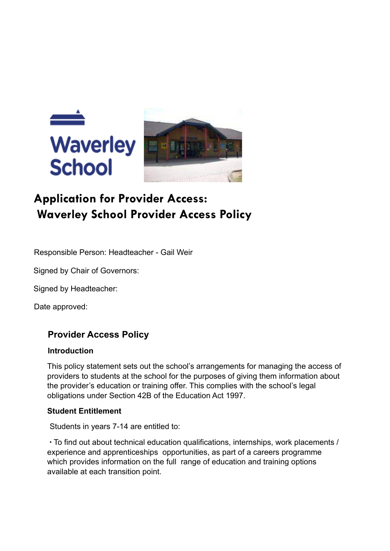

# **Application for Provider Access: Waverley School Provider Access Policy**

Responsible Person: Headteacher - Gail Weir

Signed by Chair of Governors:

Signed by Headteacher:

Date approved:

## **Provider Access Policy**

#### **Introduction**

This policy statement sets out the school's arrangements for managing the access of providers to students at the school for the purposes of giving them information about the provider's education or training offer. This complies with the school's legal obligations under Section 42B of the Education Act 1997.

#### **Student Entitlement**

Students in years 7-14 are entitled to:

∙ To find out about technical education qualifications, internships, work placements / experience and apprenticeships opportunities, as part of a careers programme which provides information on the full range of education and training options available at each transition point.